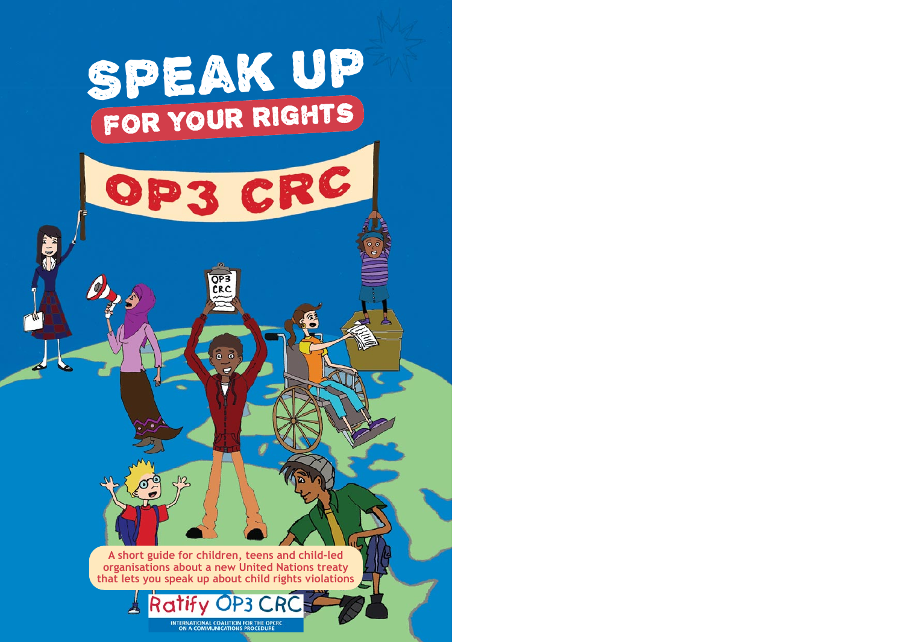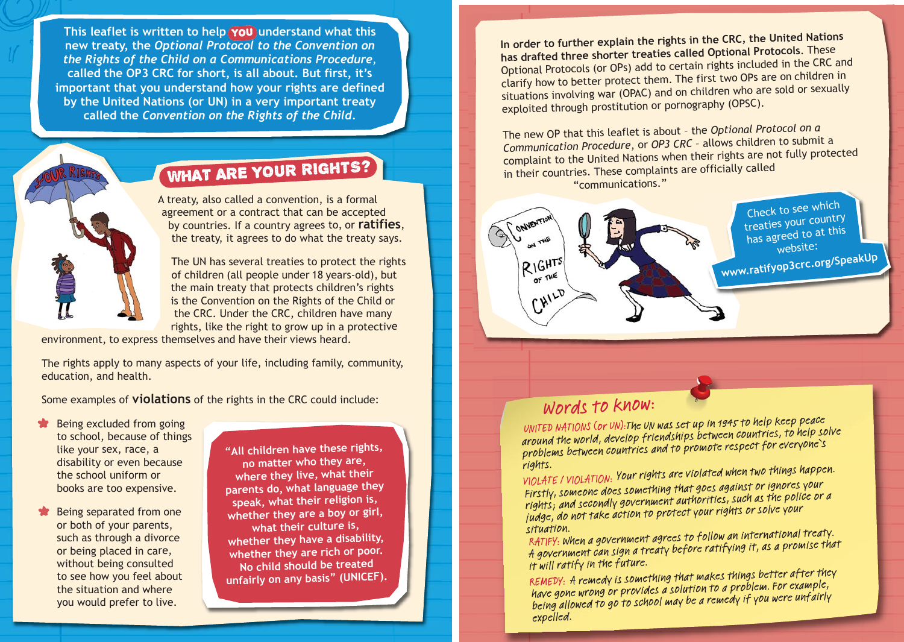This leaflet is written to help (**you** understand what this **new treaty, the** *Optional Protocol to the Convention on the Rights of the Child on a Communications Procedure,* **called the OP3 CRC for short, is all about. But first, it's important that you understand how your rights are defined by the United Nations (or UN) in a very important treaty called the** *Convention on the Rights of the Child.*



# WHAT ARE YOUR RIGHTS?

A treaty, also called a convention, is a formal agreement or a contract that can be accepted by countries. If a country agrees to, or **ratifies**, the treaty, it agrees to do what the treaty says.

The UN has several treaties to protect the rights of children (all people under 18 years-old), but the main treaty that protects children's rights is the Convention on the Rights of the Child or the CRC. Under the CRC, children have many rights, like the right to grow up in a protective

environment, to express themselves and have their views heard.

The rights apply to many aspects of your life, including family, community, education, and health.

Some examples of **violations** of the rights in the CRC could include:

- \*Being excluded from going to school, because of things like your sex, race, a disability or even because the school uniform or books are too expensive.
- \*Being separated from one or both of your parents, such as through a divorce or being placed in care, without being consulted to see how you feel about the situation and where you would prefer to live.

**"All children have these rights, no matter who they are, where they live, what their parents do, what language they speak, what their religion is, whether they are a boy or girl, what their culture is, whether they have a disability, whether they are rich or poor. No child should be treate<sup>d</sup> unfairly on any basis" (UNICEF).** **In order to further explain the rights in the CRC, the United Nations has drafted three shorter treaties called Optional Protocols**. These Optional Protocols (or OPs) add to certain rights included in the CRC and clarify how to better protect them. The first two OPs are on children in situations involving war (OPAC) and on children who are sold or sexually exploited through prostitution or pornography (OPSC).

The new OP that this leaflet is about – the *Optional Protocol on a Communication Procedure*, or *OP3 CRC* – allows children to submit a complaint to the United Nations when their rights are not fully protected in their countries. These complaints are officially called "communications."



## Words to know:

UNITED NATIONS (or UN):The UN was set up in 1945 to help keep peace around the world, develop friendships between countries, to help solve problems between countries and to promote respect for everyone's

rights. VIOLATE / VIOLATION: Your rights are violated when two things happen. Firstly, someone does something that goes against or ignores your rights; and secondly government authorities, such as the police or a judge, do not take action to protect your rights or solve your

situation.<br>RATIFY: When a government agrees to follow an international treaty.  $R$  $H$ l $H$ situation.<br>RATIFY: When a government agrees to follow an international treaty.<br>A government can sign a treaty before ratifying it, as a promise that it will ratify in the future.

REMEDY: A remedy is something that makes things better after they have gone wrong or provides a solution to a problem. For example, being allowed to go to school may be a remedy if you were unfairly expelled.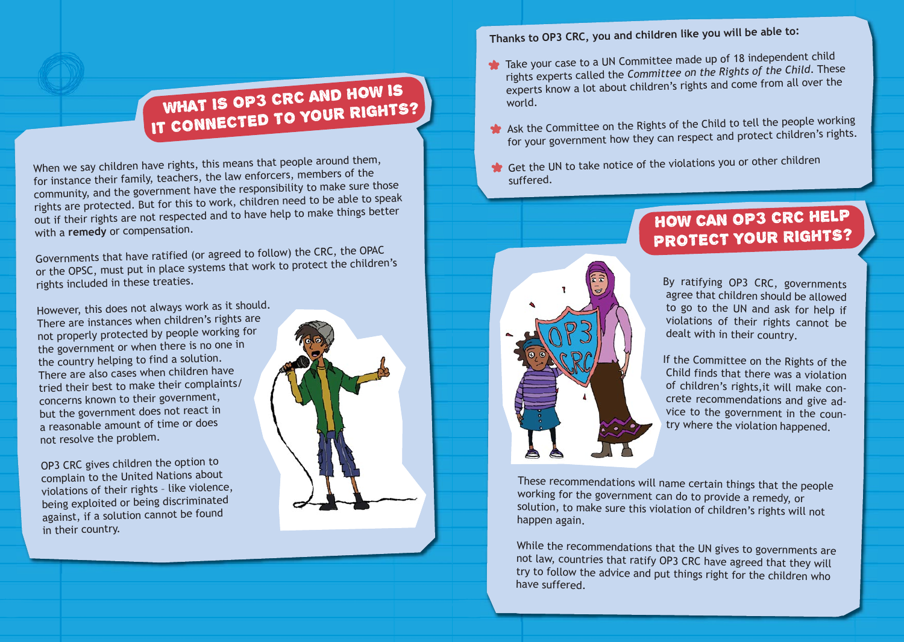# WHAT IS OP3 CRC AND HOW Is IT CONNECTED TO YOUR RIGHTS?

When we say children have rights, this means that people around them, for instance their family, teachers, the law enforcers, members of the community, and the government have the responsibility to make sure those rights are protected. But for this to work, children need to be able to speak out if their rights are not respected and to have help to make things better with a **remedy** or compensation.

Governments that have ratified (or agreed to follow) the CRC, the OPAC or the OPSC, must put in place systems that work to protect the children's rights included in these treaties.

However, this does not always work as it should. There are instances when children's rights are not properly protected by people working for the government or when there is no one in the country helping to find a solution. There are also cases when children have tried their best to make their complaints/ concerns known to their government, but the government does not react in a reasonable amount of time or does not resolve the problem.

OP3 CRC gives children the option to complain to the United Nations about violations of their rights – like violence, being exploited or being discriminated against, if a solution cannot be found in their country.



**Thanks to OP3 CRC, you and children like you will be able to:**

- Take your case to a UN Committee made up of 18 independent child rights experts called the *Committee on the Rights of the Child*. These experts know a lot about children's rights and come from all over the world.
- Ask the Committee on the Rights of the Child to tell the people working for your government how they can respect and protect children's rights.
- **\*** Get the UN to take notice of the violations you or other children suffered.



### HOW CAN OP3 CRC HELP PROTECT YOUR RIGHTS?

By ratifying OP3 CRC, governments agree that children should be allowed to go to the UN and ask for help if violations of their rights cannot be dealt with in their country.

If the Committee on the Rights of the Child finds that there was a violation of children's rights,it will make concrete recommendations and give advice to the government in the country where the violation happened.

These recommendations will name certain things that the people working for the government can do to provide a remedy, or solution, to make sure this violation of children's rights will not happen again.

While the recommendations that the UN gives to governments are not law, countries that ratify OP3 CRC have agreed that they will try to follow the advice and put things right for the children who have suffered.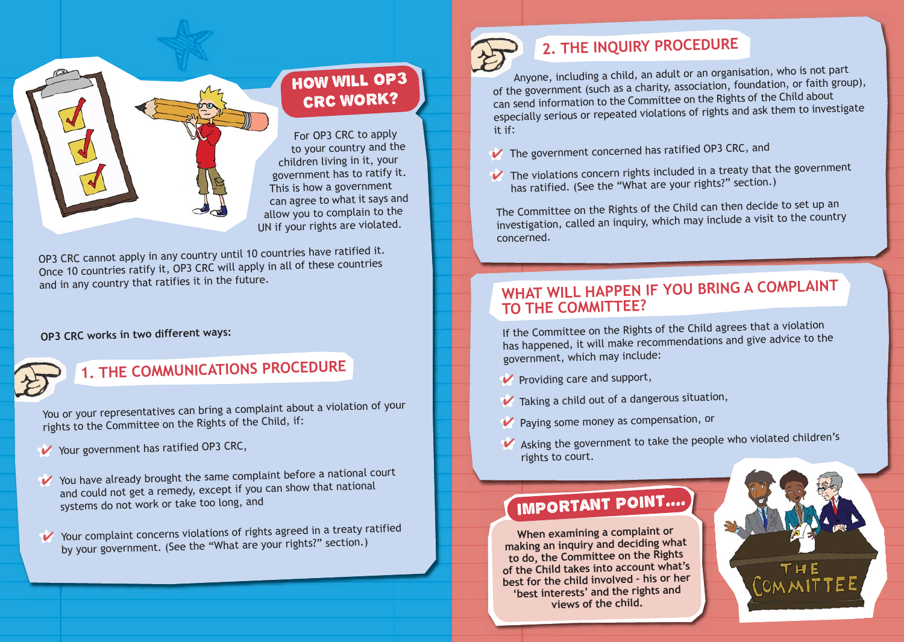

## HOW WILL OP3 CRC WORK?

For OP3 CRC to apply to your country and the children living in it, your government has to ratify it. This is how a governmen<sup>t</sup> can agree to what it says and allow you to complain to the UN if your rights are violated.

OP3 CRC cannot apply in any country until 10 countries have ratified it. Once 10 countries ratify it, OP3 CRC will apply in all of these countries and in any country that ratifies it in the future.

#### **OP3 CRC works in two different ways:**



## **1. THE COMMUNICATIONS PROCEDURE**

You or your representatives can bring a complaint about a violation of your rights to the Committee on the Rights of the Child, if:

- Your government has ratified OP3 CRC,
- ◆ You have already brought the same complaint before a national court and could not get a remedy, except if you can show that national systems do not work or take too long, and
- ◆ Your complaint concerns violations of rights agreed in a treaty ratified by your government. (See the "What are your rights?" section.)

## **2. THE INQUIRY PROCEDURE**

Anyone, including a child, an adult or an organisation, who is not part of the government (such as a charity, association, foundation, or faith group), can send information to the Committee on the Rights of the Child about especially serious or repeated violations of rights and ask them to investigate it if:

- $\vee$  The government concerned has ratified OP3 CRC, and
- $\vee$  The violations concern rights included in a treaty that the government has ratified. (See the "What are your rights?" section.)

The Committee on the Rights of the Child can then decide to set up an investigation, called an inquiry, which may include a visit to the country concerned.

### **WHAT WILL HAPPEN IF YOU BRING A COMPLAINT TO THE COMMITTEE?**

If the Committee on the Rights of the Child agrees that a violation has happened, it will make recommendations and give advice to the government, which may include:

- $\blacktriangleright$  Providing care and support,
- $\blacktriangledown$  Taking a child out of a dangerous situation,
- \*✔ Paying some money as compensation, or
- ↓ Asking the government to take the people who violated children's rights to court.

# IMPORTANT POINT....

**When examining a complaint or making an inquiry and deciding what to do, the Committee on the Rights of the Child takes into account what's best for the child involved – his or her 'best interests' and the rights and views of the child.**